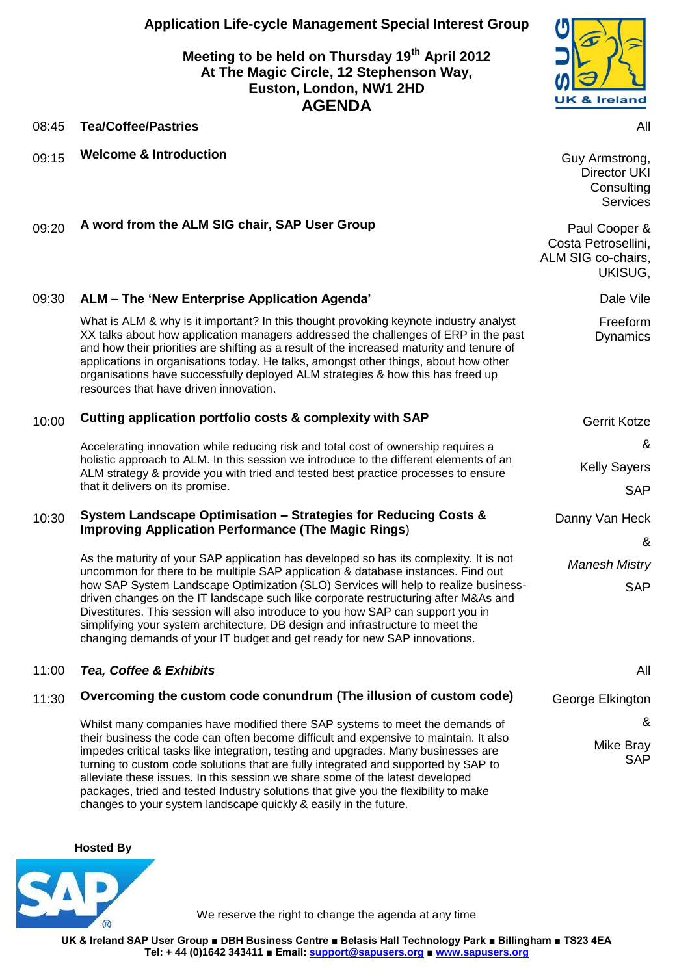**Application Life-cycle Management Special Interest Group**

## **Meeting to be held on Thursday 19th April 2012 At The Magic Circle, 12 Stephenson Way, Euston, London, NW1 2HD AGENDA**



08:45 **Tea/Coffee/Pastries** All

09:15 **Welcome & Introduction** Guy Armstrong,

Director UKI **Consulting** Services

09:20 A word from the ALM SIG chair, SAP User Group **Paul Cooper &** Paul Cooper &

|       |                                                                                                                                                                                                                                                                                                                                                                                                                                                                                                                                                                                                             | Costa Petrosellini,<br>ALM SIG co-chairs,<br>UKISUG, |
|-------|-------------------------------------------------------------------------------------------------------------------------------------------------------------------------------------------------------------------------------------------------------------------------------------------------------------------------------------------------------------------------------------------------------------------------------------------------------------------------------------------------------------------------------------------------------------------------------------------------------------|------------------------------------------------------|
| 09:30 | ALM - The 'New Enterprise Application Agenda'                                                                                                                                                                                                                                                                                                                                                                                                                                                                                                                                                               | Dale Vile                                            |
|       | What is ALM & why is it important? In this thought provoking keynote industry analyst<br>XX talks about how application managers addressed the challenges of ERP in the past<br>and how their priorities are shifting as a result of the increased maturity and tenure of<br>applications in organisations today. He talks, amongst other things, about how other<br>organisations have successfully deployed ALM strategies & how this has freed up<br>resources that have driven innovation.                                                                                                              | Freeform<br><b>Dynamics</b>                          |
| 10:00 | Cutting application portfolio costs & complexity with SAP                                                                                                                                                                                                                                                                                                                                                                                                                                                                                                                                                   | <b>Gerrit Kotze</b>                                  |
|       | Accelerating innovation while reducing risk and total cost of ownership requires a<br>holistic approach to ALM. In this session we introduce to the different elements of an<br>ALM strategy & provide you with tried and tested best practice processes to ensure<br>that it delivers on its promise.                                                                                                                                                                                                                                                                                                      | &                                                    |
|       |                                                                                                                                                                                                                                                                                                                                                                                                                                                                                                                                                                                                             | <b>Kelly Sayers</b>                                  |
|       |                                                                                                                                                                                                                                                                                                                                                                                                                                                                                                                                                                                                             | <b>SAP</b>                                           |
| 10:30 | System Landscape Optimisation - Strategies for Reducing Costs &<br><b>Improving Application Performance (The Magic Rings)</b>                                                                                                                                                                                                                                                                                                                                                                                                                                                                               | Danny Van Heck                                       |
|       |                                                                                                                                                                                                                                                                                                                                                                                                                                                                                                                                                                                                             | &                                                    |
|       | As the maturity of your SAP application has developed so has its complexity. It is not<br>uncommon for there to be multiple SAP application & database instances. Find out<br>how SAP System Landscape Optimization (SLO) Services will help to realize business-<br>driven changes on the IT landscape such like corporate restructuring after M&As and<br>Divestitures. This session will also introduce to you how SAP can support you in<br>simplifying your system architecture, DB design and infrastructure to meet the<br>changing demands of your IT budget and get ready for new SAP innovations. | <b>Manesh Mistry</b><br><b>SAP</b>                   |
|       |                                                                                                                                                                                                                                                                                                                                                                                                                                                                                                                                                                                                             |                                                      |
| 11:00 | Tea, Coffee & Exhibits                                                                                                                                                                                                                                                                                                                                                                                                                                                                                                                                                                                      | All                                                  |
| 11:30 | Overcoming the custom code conundrum (The illusion of custom code)                                                                                                                                                                                                                                                                                                                                                                                                                                                                                                                                          | George Elkington                                     |
|       | Whilst many companies have modified there SAP systems to meet the demands of<br>their business the code can often become difficult and expensive to maintain. It also<br>impedes critical tasks like integration, testing and upgrades. Many businesses are<br>turning to custom code solutions that are fully integrated and supported by SAP to<br>alleviate these issues. In this session we share some of the latest developed<br>packages, tried and tested Industry solutions that give you the flexibility to make<br>changes to your system landscape quickly & easily in the future.               | &                                                    |
|       |                                                                                                                                                                                                                                                                                                                                                                                                                                                                                                                                                                                                             | Mike Bray<br><b>SAP</b>                              |

**Hosted By** 



We reserve the right to change the agenda at any time